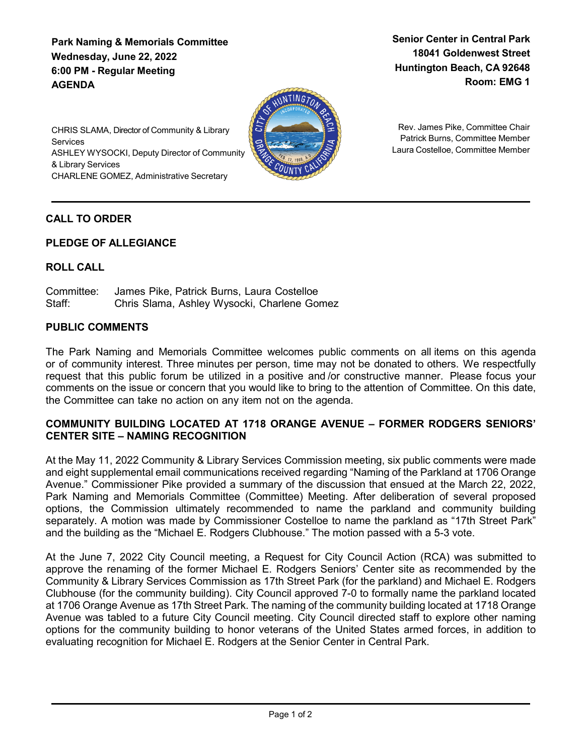**Park Naming & Memorials Committee Wednesday, June 22, 2022 6:00 PM - Regular Meeting AGENDA**

**Senior Center in Central Park 18041 Goldenwest Street Huntington Beach, CA 92648 Room: EMG 1**



Rev. James Pike, Committee Chair Patrick Burns, Committee Member Laura Costelloe, Committee Member

CHRIS SLAMA, Director of Community & Library **Services** ASHLEY WYSOCKI, Deputy Director of Community & Library Services CHARLENE GOMEZ, Administrative Secretary

# **CALL TO ORDER**

### **PLEDGE OF ALLEGIANCE**

## **ROLL CALL**

Committee: James Pike, Patrick Burns, Laura Costelloe Staff: Chris Slama, Ashley Wysocki, Charlene Gomez

### **PUBLIC COMMENTS**

The Park Naming and Memorials Committee welcomes public comments on all items on this agenda or of community interest. Three minutes per person, time may not be donated to others. We respectfully request that this public forum be utilized in a positive and /or constructive manner. Please focus your comments on the issue or concern that you would like to bring to the attention of Committee. On this date, the Committee can take no action on any item not on the agenda.

### **COMMUNITY BUILDING LOCATED AT 1718 ORANGE AVENUE – FORMER RODGERS SENIORS' CENTER SITE – NAMING RECOGNITION**

At the May 11, 2022 Community & Library Services Commission meeting, six public comments were made and eight supplemental email communications received regarding "Naming of the Parkland at 1706 Orange Avenue." Commissioner Pike provided a summary of the discussion that ensued at the March 22, 2022, Park Naming and Memorials Committee (Committee) Meeting. After deliberation of several proposed options, the Commission ultimately recommended to name the parkland and community building separately. A motion was made by Commissioner Costelloe to name the parkland as "17th Street Park" and the building as the "Michael E. Rodgers Clubhouse." The motion passed with a 5-3 vote.

At the June 7, 2022 City Council meeting, a Request for City Council Action (RCA) was submitted to approve the renaming of the former Michael E. Rodgers Seniors' Center site as recommended by the Community & Library Services Commission as 17th Street Park (for the parkland) and Michael E. Rodgers Clubhouse (for the community building). City Council approved 7-0 to formally name the parkland located at 1706 Orange Avenue as 17th Street Park. The naming of the community building located at 1718 Orange Avenue was tabled to a future City Council meeting. City Council directed staff to explore other naming options for the community building to honor veterans of the United States armed forces, in addition to evaluating recognition for Michael E. Rodgers at the Senior Center in Central Park.